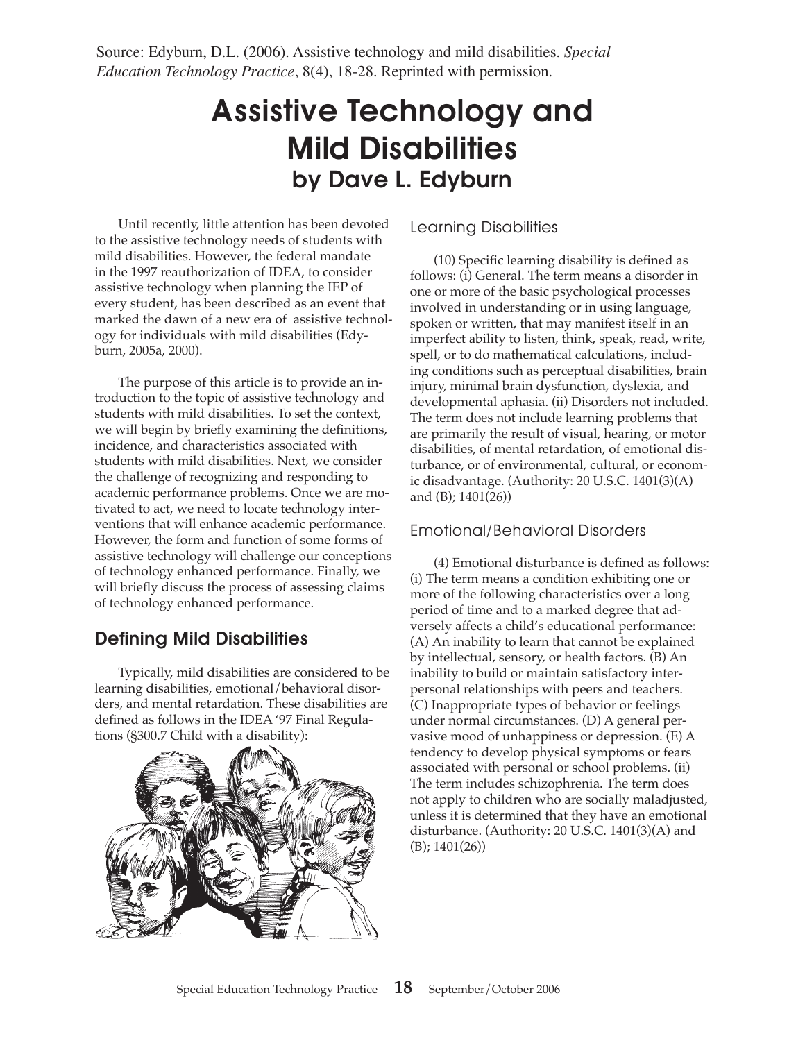Source: Edyburn, D.L. (2006). Assistive technology and mild disabilities. *Special Education Technology Practice*, 8(4), 18-28. Reprinted with permission.

# Assistive Technology and Mild Disabilities by Dave L. Edyburn

Until recently, little attention has been devoted to the assistive technology needs of students with mild disabilities. However, the federal mandate in the 1997 reauthorization of IDEA, to consider assistive technology when planning the IEP of every student, has been described as an event that marked the dawn of a new era of assistive technology for individuals with mild disabilities (Edyburn, 2005a, 2000).

The purpose of this article is to provide an introduction to the topic of assistive technology and students with mild disabilities. To set the context, we will begin by briefly examining the definitions, incidence, and characteristics associated with students with mild disabilities. Next, we consider the challenge of recognizing and responding to academic performance problems. Once we are motivated to act, we need to locate technology interventions that will enhance academic performance. However, the form and function of some forms of assistive technology will challenge our conceptions of technology enhanced performance. Finally, we will briefly discuss the process of assessing claims of technology enhanced performance.

### Defining Mild Disabilities

Typically, mild disabilities are considered to be learning disabilities, emotional/behavioral disorders, and mental retardation. These disabilities are defined as follows in the IDEA '97 Final Regulations (§300.7 Child with a disability):



### Learning Disabilities

(10) Specific learning disability is defined as follows: (i) General. The term means a disorder in one or more of the basic psychological processes involved in understanding or in using language, spoken or written, that may manifest itself in an imperfect ability to listen, think, speak, read, write, spell, or to do mathematical calculations, including conditions such as perceptual disabilities, brain injury, minimal brain dysfunction, dyslexia, and developmental aphasia. (ii) Disorders not included. The term does not include learning problems that are primarily the result of visual, hearing, or motor disabilities, of mental retardation, of emotional disturbance, or of environmental, cultural, or economic disadvantage. (Authority: 20 U.S.C. 1401(3)(A) and (B); 1401(26))

### Emotional/Behavioral Disorders

(4) Emotional disturbance is defined as follows: (i) The term means a condition exhibiting one or more of the following characteristics over a long period of time and to a marked degree that adversely affects a child's educational performance: (A) An inability to learn that cannot be explained by intellectual, sensory, or health factors. (B) An inability to build or maintain satisfactory interpersonal relationships with peers and teachers. (C) Inappropriate types of behavior or feelings under normal circumstances. (D) A general pervasive mood of unhappiness or depression. (E) A tendency to develop physical symptoms or fears associated with personal or school problems. (ii) The term includes schizophrenia. The term does not apply to children who are socially maladjusted, unless it is determined that they have an emotional disturbance. (Authority: 20 U.S.C. 1401(3)(A) and (B); 1401(26))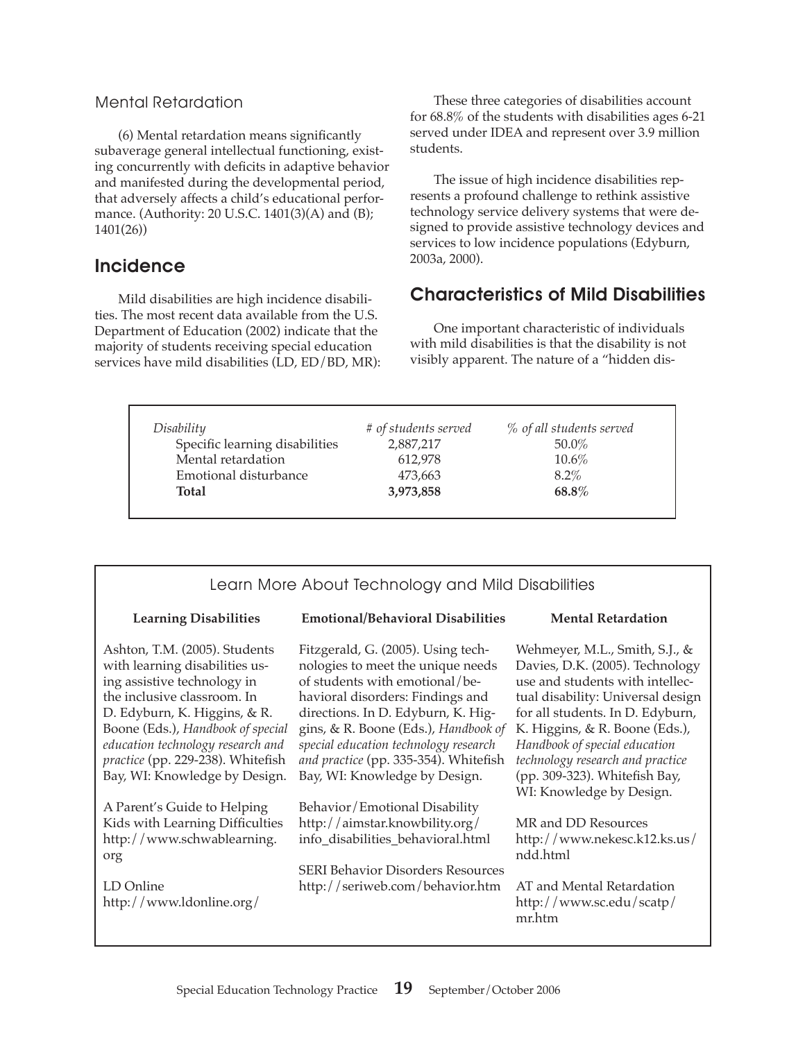#### Mental Retardation

(6) Mental retardation means significantly subaverage general intellectual functioning, existing concurrently with deficits in adaptive behavior and manifested during the developmental period, that adversely affects a child's educational performance. (Authority: 20 U.S.C. 1401(3)(A) and (B); 1401(26))

### Incidence

Mild disabilities are high incidence disabilities. The most recent data available from the U.S. Department of Education (2002) indicate that the majority of students receiving special education services have mild disabilities (LD, ED/BD, MR):

These three categories of disabilities account for 68.8% of the students with disabilities ages 6-21 served under IDEA and represent over 3.9 million students.

The issue of high incidence disabilities represents a profound challenge to rethink assistive technology service delivery systems that were designed to provide assistive technology devices and services to low incidence populations (Edyburn, 2003a, 2000).

### Characteristics of Mild Disabilities

One important characteristic of individuals with mild disabilities is that the disability is not visibly apparent. The nature of a "hidden dis-

| Disability                     | # of students served | % of all students served |
|--------------------------------|----------------------|--------------------------|
| Specific learning disabilities | 2,887,217            | $50.0\%$                 |
| Mental retardation             | 612.978              | $10.6\%$                 |
| Emotional disturbance          | 473,663              | $8.2\%$                  |
| <b>Total</b>                   | 3,973,858            | $68.8\%$                 |

| Learn More About Technology and Mild Disabilities                                                                                                                                                                                                                                                             |                                                                                                                                                                                                                                                                                                                                                |                                                                                                                                                                                                                                                                                                                                                   |  |  |  |
|---------------------------------------------------------------------------------------------------------------------------------------------------------------------------------------------------------------------------------------------------------------------------------------------------------------|------------------------------------------------------------------------------------------------------------------------------------------------------------------------------------------------------------------------------------------------------------------------------------------------------------------------------------------------|---------------------------------------------------------------------------------------------------------------------------------------------------------------------------------------------------------------------------------------------------------------------------------------------------------------------------------------------------|--|--|--|
| <b>Learning Disabilities</b>                                                                                                                                                                                                                                                                                  | <b>Emotional/Behavioral Disabilities</b>                                                                                                                                                                                                                                                                                                       | <b>Mental Retardation</b>                                                                                                                                                                                                                                                                                                                         |  |  |  |
| Ashton, T.M. (2005). Students<br>with learning disabilities us-<br>ing assistive technology in<br>the inclusive classroom. In<br>D. Edyburn, K. Higgins, & R.<br>Boone (Eds.), Handbook of special<br>education technology research and<br>practice (pp. 229-238). Whitefish<br>Bay, WI: Knowledge by Design. | Fitzgerald, G. (2005). Using tech-<br>nologies to meet the unique needs<br>of students with emotional/be-<br>havioral disorders: Findings and<br>directions. In D. Edyburn, K. Hig-<br>gins, & R. Boone (Eds.), Handbook of<br>special education technology research<br>and practice (pp. 335-354). Whitefish<br>Bay, WI: Knowledge by Design. | Wehmeyer, M.L., Smith, S.J., &<br>Davies, D.K. (2005). Technology<br>use and students with intellec-<br>tual disability: Universal design<br>for all students. In D. Edyburn,<br>K. Higgins, & R. Boone (Eds.),<br>Handbook of special education<br>technology research and practice<br>(pp. 309-323). Whitefish Bay,<br>WI: Knowledge by Design. |  |  |  |
| A Parent's Guide to Helping<br>Kids with Learning Difficulties<br>http://www.schwablearning.<br>org<br>LD Online<br>http://www.ldonline.org/                                                                                                                                                                  | Behavior/Emotional Disability<br>http://aimstar.knowbility.org/<br>info_disabilities_behavioral.html<br><b>SERI Behavior Disorders Resources</b><br>http://seriweb.com/behavior.htm                                                                                                                                                            | MR and DD Resources<br>http://www.nekesc.k12.ks.us/<br>ndd.html<br>AT and Mental Retardation<br>http://www.sc.edu/scatp/<br>mr.htm                                                                                                                                                                                                                |  |  |  |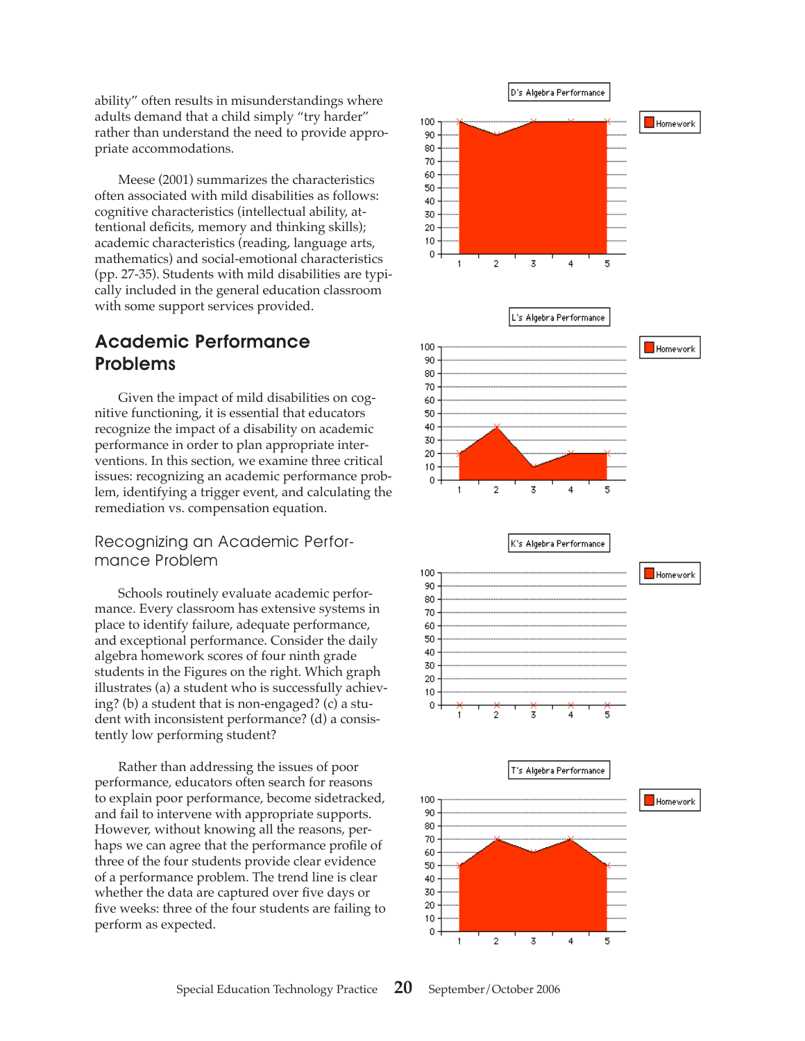ability" often results in misunderstandings where adults demand that a child simply "try harder" rather than understand the need to provide appropriate accommodations.

Meese (2001) summarizes the characteristics often associated with mild disabilities as follows: cognitive characteristics (intellectual ability, attentional deficits, memory and thinking skills); academic characteristics (reading, language arts, mathematics) and social-emotional characteristics (pp. 27-35). Students with mild disabilities are typically included in the general education classroom with some support services provided.

# Academic Performance Problems

Given the impact of mild disabilities on cognitive functioning, it is essential that educators recognize the impact of a disability on academic performance in order to plan appropriate interventions. In this section, we examine three critical issues: recognizing an academic performance problem, identifying a trigger event, and calculating the remediation vs. compensation equation.

Recognizing an Academic Performance Problem

Schools routinely evaluate academic performance. Every classroom has extensive systems in place to identify failure, adequate performance, and exceptional performance. Consider the daily algebra homework scores of four ninth grade students in the Figures on the right. Which graph illustrates (a) a student who is successfully achieving? (b) a student that is non-engaged? (c) a student with inconsistent performance? (d) a consistently low performing student?

Rather than addressing the issues of poor performance, educators often search for reasons to explain poor performance, become sidetracked, and fail to intervene with appropriate supports. However, without knowing all the reasons, perhaps we can agree that the performance profile of three of the four students provide clear evidence of a performance problem. The trend line is clear whether the data are captured over five days or five weeks: three of the four students are failing to perform as expected.

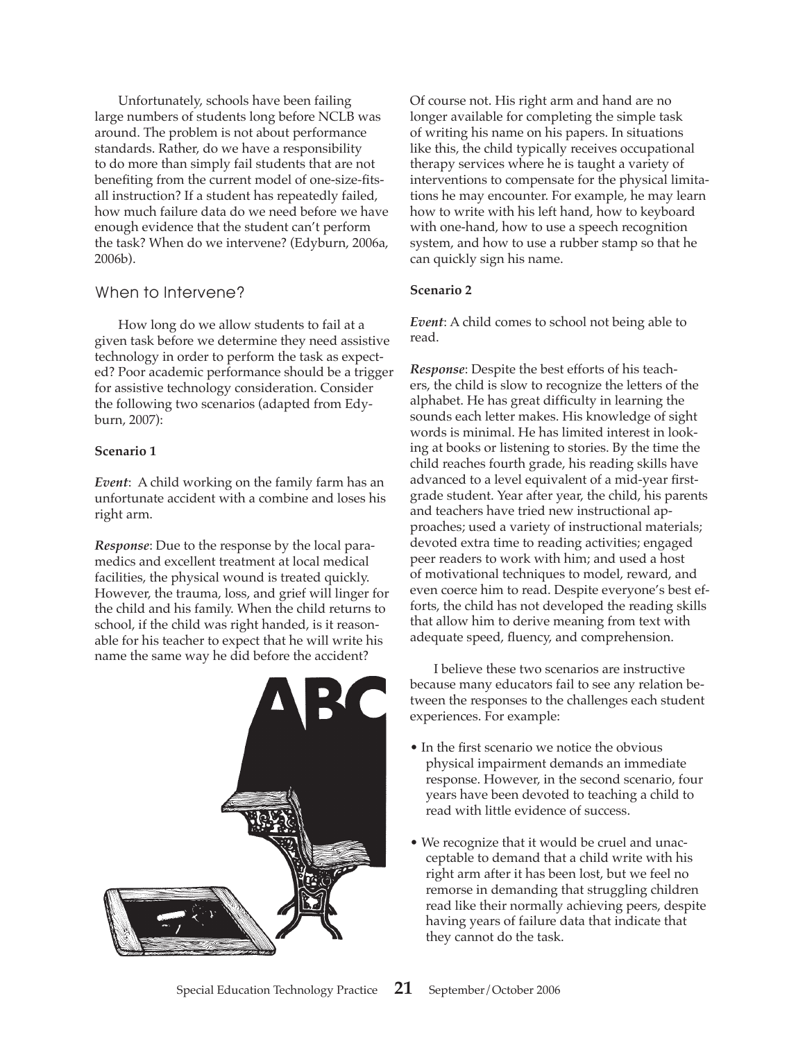Unfortunately, schools have been failing large numbers of students long before NCLB was around. The problem is not about performance standards. Rather, do we have a responsibility to do more than simply fail students that are not benefiting from the current model of one-size-fitsall instruction? If a student has repeatedly failed, how much failure data do we need before we have enough evidence that the student can't perform the task? When do we intervene? (Edyburn, 2006a, 2006b).

### When to Intervene?

How long do we allow students to fail at a given task before we determine they need assistive technology in order to perform the task as expected? Poor academic performance should be a trigger for assistive technology consideration. Consider the following two scenarios (adapted from Edyburn, 2007):

#### **Scenario 1**

*Event*: A child working on the family farm has an unfortunate accident with a combine and loses his right arm.

*Response*: Due to the response by the local paramedics and excellent treatment at local medical facilities, the physical wound is treated quickly. However, the trauma, loss, and grief will linger for the child and his family. When the child returns to school, if the child was right handed, is it reasonable for his teacher to expect that he will write his name the same way he did before the accident?



Of course not. His right arm and hand are no longer available for completing the simple task of writing his name on his papers. In situations like this, the child typically receives occupational therapy services where he is taught a variety of interventions to compensate for the physical limitations he may encounter. For example, he may learn how to write with his left hand, how to keyboard with one-hand, how to use a speech recognition system, and how to use a rubber stamp so that he can quickly sign his name.

#### **Scenario 2**

*Event*: A child comes to school not being able to read.

*Response*: Despite the best efforts of his teachers, the child is slow to recognize the letters of the alphabet. He has great difficulty in learning the sounds each letter makes. His knowledge of sight words is minimal. He has limited interest in looking at books or listening to stories. By the time the child reaches fourth grade, his reading skills have advanced to a level equivalent of a mid-year firstgrade student. Year after year, the child, his parents and teachers have tried new instructional approaches; used a variety of instructional materials; devoted extra time to reading activities; engaged peer readers to work with him; and used a host of motivational techniques to model, reward, and even coerce him to read. Despite everyone's best efforts, the child has not developed the reading skills that allow him to derive meaning from text with adequate speed, fluency, and comprehension.

I believe these two scenarios are instructive because many educators fail to see any relation between the responses to the challenges each student experiences. For example:

- In the first scenario we notice the obvious physical impairment demands an immediate response. However, in the second scenario, four years have been devoted to teaching a child to read with little evidence of success.
- We recognize that it would be cruel and unacceptable to demand that a child write with his right arm after it has been lost, but we feel no remorse in demanding that struggling children read like their normally achieving peers, despite having years of failure data that indicate that they cannot do the task.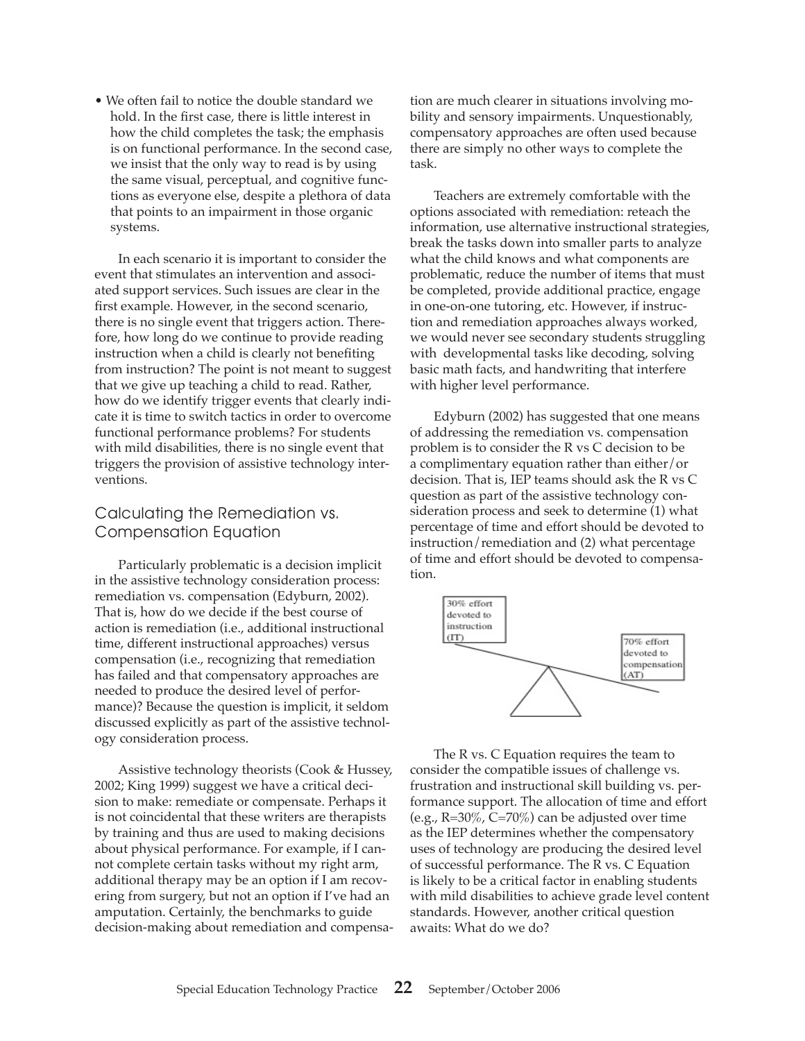• We often fail to notice the double standard we hold. In the first case, there is little interest in how the child completes the task; the emphasis is on functional performance. In the second case, we insist that the only way to read is by using the same visual, perceptual, and cognitive functions as everyone else, despite a plethora of data that points to an impairment in those organic systems.

In each scenario it is important to consider the event that stimulates an intervention and associated support services. Such issues are clear in the first example. However, in the second scenario, there is no single event that triggers action. Therefore, how long do we continue to provide reading instruction when a child is clearly not benefiting from instruction? The point is not meant to suggest that we give up teaching a child to read. Rather, how do we identify trigger events that clearly indicate it is time to switch tactics in order to overcome functional performance problems? For students with mild disabilities, there is no single event that triggers the provision of assistive technology interventions.

### Calculating the Remediation vs. Compensation Equation

Particularly problematic is a decision implicit in the assistive technology consideration process: remediation vs. compensation (Edyburn, 2002). That is, how do we decide if the best course of action is remediation (i.e., additional instructional time, different instructional approaches) versus compensation (i.e., recognizing that remediation has failed and that compensatory approaches are needed to produce the desired level of performance)? Because the question is implicit, it seldom discussed explicitly as part of the assistive technology consideration process.

Assistive technology theorists (Cook & Hussey, 2002; King 1999) suggest we have a critical decision to make: remediate or compensate. Perhaps it is not coincidental that these writers are therapists by training and thus are used to making decisions about physical performance. For example, if I cannot complete certain tasks without my right arm, additional therapy may be an option if I am recovering from surgery, but not an option if I've had an amputation. Certainly, the benchmarks to guide decision-making about remediation and compensa-

tion are much clearer in situations involving mobility and sensory impairments. Unquestionably, compensatory approaches are often used because there are simply no other ways to complete the task.

Teachers are extremely comfortable with the options associated with remediation: reteach the information, use alternative instructional strategies, break the tasks down into smaller parts to analyze what the child knows and what components are problematic, reduce the number of items that must be completed, provide additional practice, engage in one-on-one tutoring, etc. However, if instruction and remediation approaches always worked, we would never see secondary students struggling with developmental tasks like decoding, solving basic math facts, and handwriting that interfere with higher level performance.

Edyburn (2002) has suggested that one means of addressing the remediation vs. compensation problem is to consider the R vs C decision to be a complimentary equation rather than either/or decision. That is, IEP teams should ask the R vs C question as part of the assistive technology consideration process and seek to determine (1) what percentage of time and effort should be devoted to instruction/remediation and (2) what percentage of time and effort should be devoted to compensation.



The R vs. C Equation requires the team to consider the compatible issues of challenge vs. frustration and instructional skill building vs. performance support. The allocation of time and effort (e.g.,  $R=30\%$ ,  $C=70\%$ ) can be adjusted over time as the IEP determines whether the compensatory uses of technology are producing the desired level of successful performance. The R vs. C Equation is likely to be a critical factor in enabling students with mild disabilities to achieve grade level content standards. However, another critical question awaits: What do we do?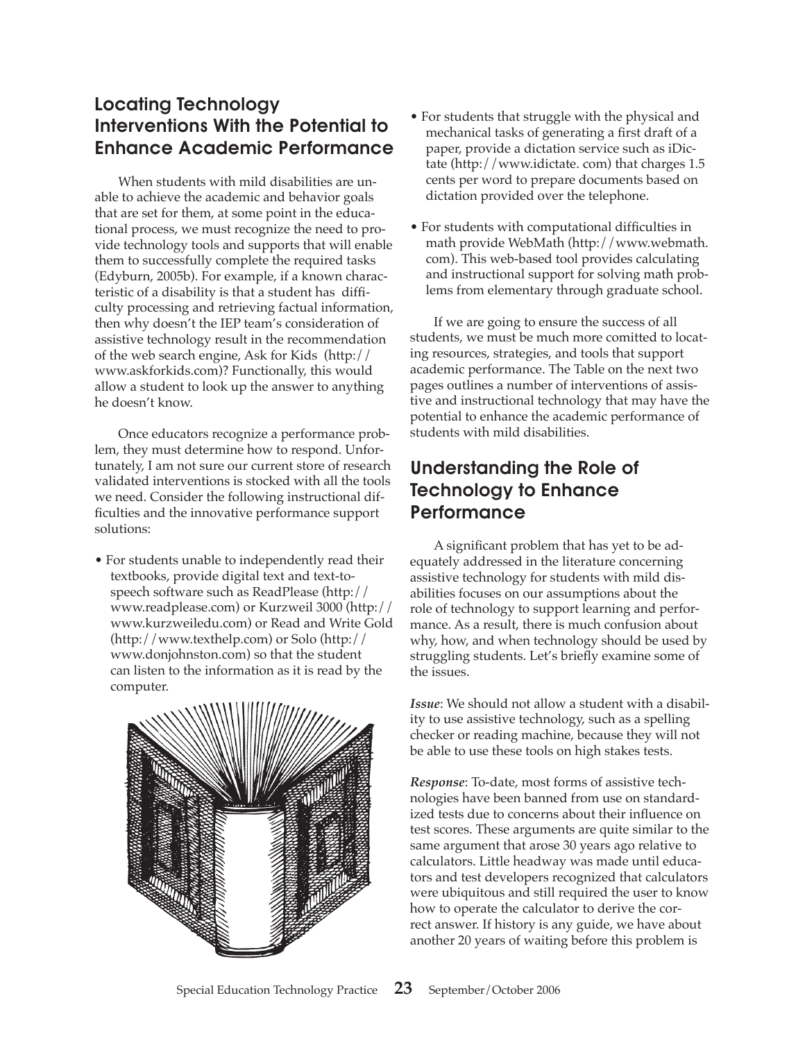# Locating Technology Interventions With the Potential to Enhance Academic Performance

When students with mild disabilities are unable to achieve the academic and behavior goals that are set for them, at some point in the educational process, we must recognize the need to provide technology tools and supports that will enable them to successfully complete the required tasks (Edyburn, 2005b). For example, if a known characteristic of a disability is that a student has difficulty processing and retrieving factual information, then why doesn't the IEP team's consideration of assistive technology result in the recommendation of the web search engine, Ask for Kids (http:// www.askforkids.com)? Functionally, this would allow a student to look up the answer to anything he doesn't know.

Once educators recognize a performance problem, they must determine how to respond. Unfortunately, I am not sure our current store of research validated interventions is stocked with all the tools we need. Consider the following instructional difficulties and the innovative performance support solutions:

• For students unable to independently read their textbooks, provide digital text and text-tospeech software such as ReadPlease (http:// www.readplease.com) or Kurzweil 3000 (http:// www.kurzweiledu.com) or Read and Write Gold (http://www.texthelp.com) or Solo (http:// www.donjohnston.com) so that the student can listen to the information as it is read by the computer.



- For students that struggle with the physical and mechanical tasks of generating a first draft of a paper, provide a dictation service such as iDictate (http://www.idictate. com) that charges 1.5 cents per word to prepare documents based on dictation provided over the telephone.
- For students with computational difficulties in math provide WebMath (http://www.webmath. com). This web-based tool provides calculating and instructional support for solving math problems from elementary through graduate school.

If we are going to ensure the success of all students, we must be much more comitted to locating resources, strategies, and tools that support academic performance. The Table on the next two pages outlines a number of interventions of assistive and instructional technology that may have the potential to enhance the academic performance of students with mild disabilities.

# Understanding the Role of Technology to Enhance **Performance**

A significant problem that has yet to be adequately addressed in the literature concerning assistive technology for students with mild disabilities focuses on our assumptions about the role of technology to support learning and performance. As a result, there is much confusion about why, how, and when technology should be used by struggling students. Let's briefly examine some of the issues.

*Issue*: We should not allow a student with a disability to use assistive technology, such as a spelling checker or reading machine, because they will not be able to use these tools on high stakes tests.

*Response*: To-date, most forms of assistive technologies have been banned from use on standardized tests due to concerns about their influence on test scores. These arguments are quite similar to the same argument that arose 30 years ago relative to calculators. Little headway was made until educators and test developers recognized that calculators were ubiquitous and still required the user to know how to operate the calculator to derive the correct answer. If history is any guide, we have about another 20 years of waiting before this problem is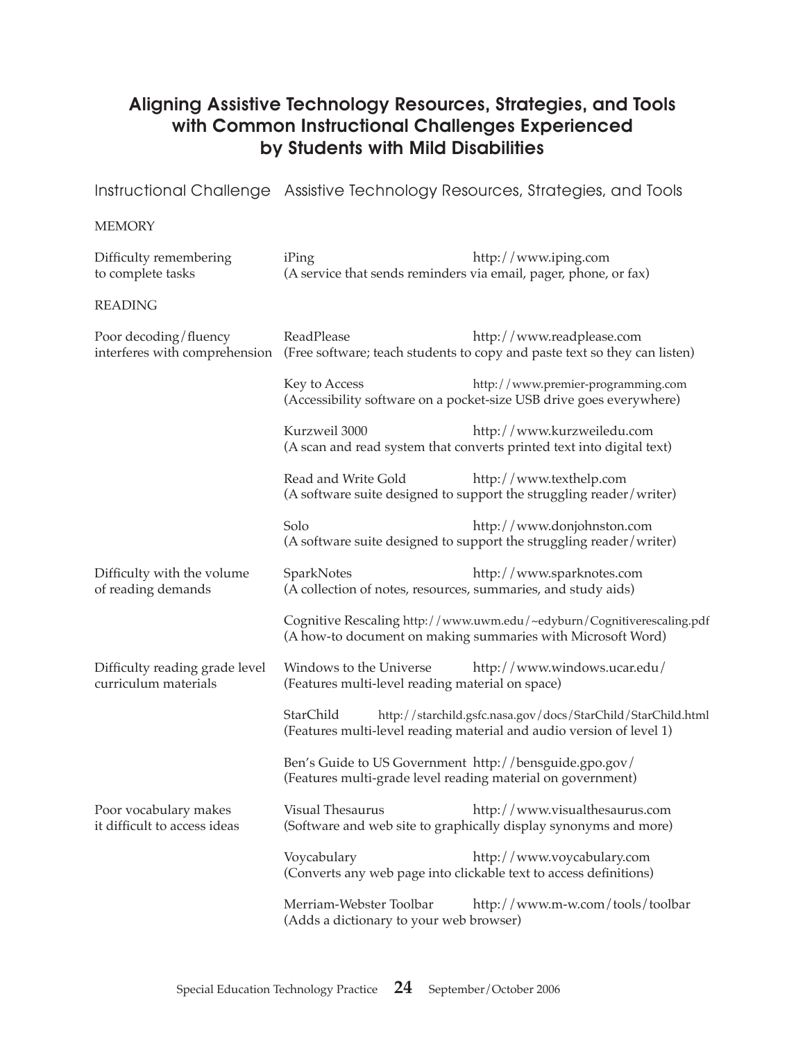## Aligning Assistive Technology Resources, Strategies, and Tools with Common Instructional Challenges Experienced by Students with Mild Disabilities

Instructional Challenge Assistive Technology Resources, Strategies, and Tools

#### **MEMORY**

| Difficulty remembering<br>to complete tasks            | iPing<br>(A service that sends reminders via email, pager, phone, or fax)                                                                         | http://www.iping.com                                                                                                                  |
|--------------------------------------------------------|---------------------------------------------------------------------------------------------------------------------------------------------------|---------------------------------------------------------------------------------------------------------------------------------------|
| <b>READING</b>                                         |                                                                                                                                                   |                                                                                                                                       |
| Poor decoding/fluency                                  | ReadPlease                                                                                                                                        | http://www.readplease.com<br>interferes with comprehension (Free software; teach students to copy and paste text so they can listen)  |
|                                                        | Key to Access                                                                                                                                     | http://www.premier-programming.com<br>(Accessibility software on a pocket-size USB drive goes everywhere)                             |
|                                                        | Kurzweil 3000                                                                                                                                     | http://www.kurzweiledu.com<br>(A scan and read system that converts printed text into digital text)                                   |
|                                                        | Read and Write Gold                                                                                                                               | http://www.texthelp.com<br>(A software suite designed to support the struggling reader/writer)                                        |
|                                                        | Solo                                                                                                                                              | http://www.donjohnston.com<br>(A software suite designed to support the struggling reader/writer)                                     |
| Difficulty with the volume<br>of reading demands       | SparkNotes<br>(A collection of notes, resources, summaries, and study aids)                                                                       | http://www.sparknotes.com                                                                                                             |
|                                                        |                                                                                                                                                   | Cognitive Rescaling http://www.uwm.edu/~edyburn/Cognitiverescaling.pdf<br>(A how-to document on making summaries with Microsoft Word) |
| Difficulty reading grade level<br>curriculum materials | Windows to the Universe<br>(Features multi-level reading material on space)                                                                       | http://www.windows.ucar.edu/                                                                                                          |
|                                                        | StarChild<br>http://starchild.gsfc.nasa.gov/docs/StarChild/StarChild.html<br>(Features multi-level reading material and audio version of level 1) |                                                                                                                                       |
|                                                        | Ben's Guide to US Government http://bensguide.gpo.gov/<br>(Features multi-grade level reading material on government)                             |                                                                                                                                       |
| Poor vocabulary makes<br>it difficult to access ideas  | Visual Thesaurus                                                                                                                                  | http://www.visualthesaurus.com<br>(Software and web site to graphically display synonyms and more)                                    |
|                                                        | Voycabulary                                                                                                                                       | http://www.voycabulary.com<br>(Converts any web page into clickable text to access definitions)                                       |
|                                                        | Merriam-Webster Toolbar<br>(Adds a dictionary to your web browser)                                                                                | http://www.m-w.com/tools/toolbar                                                                                                      |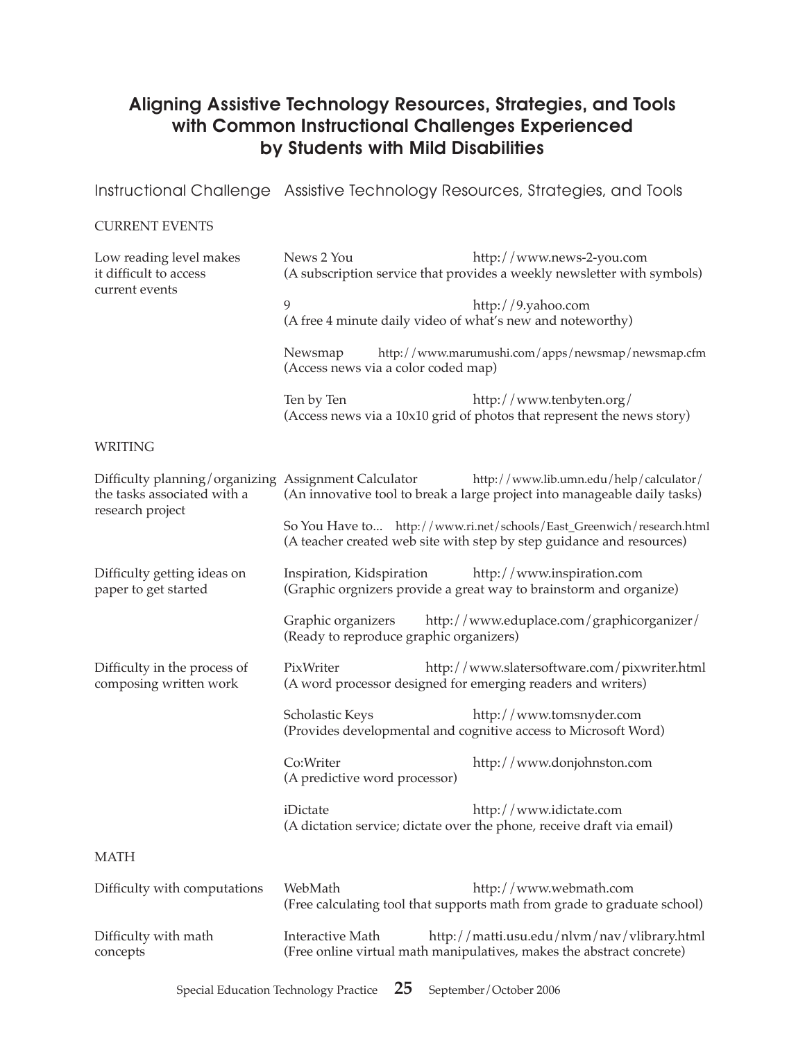## Aligning Assistive Technology Resources, Strategies, and Tools with Common Instructional Challenges Experienced by Students with Mild Disabilities

Instructional Challenge Assistive Technology Resources, Strategies, and Tools

#### CURRENT EVENTS

| Low reading level makes<br>it difficult to access<br>current events                                     | News 2 You                                                                                          | http://www.news-2-you.com<br>(A subscription service that provides a weekly newsletter with symbols)                                           |  |
|---------------------------------------------------------------------------------------------------------|-----------------------------------------------------------------------------------------------------|------------------------------------------------------------------------------------------------------------------------------------------------|--|
|                                                                                                         | 9<br>(A free 4 minute daily video of what's new and noteworthy)                                     | http://9.yahoo.com                                                                                                                             |  |
|                                                                                                         | http://www.marumushi.com/apps/newsmap/newsmap.cfm<br>Newsmap<br>(Access news via a color coded map) |                                                                                                                                                |  |
|                                                                                                         | Ten by Ten                                                                                          | http://www.tenbyten.org/<br>(Access news via a 10x10 grid of photos that represent the news story)                                             |  |
| <b>WRITING</b>                                                                                          |                                                                                                     |                                                                                                                                                |  |
| Difficulty planning/organizing Assignment Calculator<br>the tasks associated with a<br>research project |                                                                                                     | http://www.lib.umn.edu/help/calculator/<br>(An innovative tool to break a large project into manageable daily tasks)                           |  |
|                                                                                                         |                                                                                                     | So You Have to http://www.ri.net/schools/East_Greenwich/research.html<br>(A teacher created web site with step by step guidance and resources) |  |
| Difficulty getting ideas on<br>paper to get started                                                     | Inspiration, Kidspiration                                                                           | http://www.inspiration.com<br>(Graphic orgnizers provide a great way to brainstorm and organize)                                               |  |
|                                                                                                         | Graphic organizers<br>(Ready to reproduce graphic organizers)                                       | http://www.eduplace.com/graphicorganizer/                                                                                                      |  |
| Difficulty in the process of<br>composing written work                                                  | PixWriter<br>(A word processor designed for emerging readers and writers)                           | http://www.slatersoftware.com/pixwriter.html                                                                                                   |  |
|                                                                                                         | Scholastic Keys                                                                                     | http://www.tomsnyder.com<br>(Provides developmental and cognitive access to Microsoft Word)                                                    |  |
|                                                                                                         | Co:Writer<br>(A predictive word processor)                                                          | http://www.donjohnston.com                                                                                                                     |  |
|                                                                                                         | iDictate                                                                                            | http://www.idictate.com<br>(A dictation service; dictate over the phone, receive draft via email)                                              |  |
| <b>MATH</b>                                                                                             |                                                                                                     |                                                                                                                                                |  |
| Difficulty with computations                                                                            | WebMath                                                                                             | http://www.webmath.com<br>(Free calculating tool that supports math from grade to graduate school)                                             |  |
| Difficulty with math<br>concepts                                                                        | Interactive Math                                                                                    | http://matti.usu.edu/nlvm/nav/vlibrary.html<br>(Free online virtual math manipulatives, makes the abstract concrete)                           |  |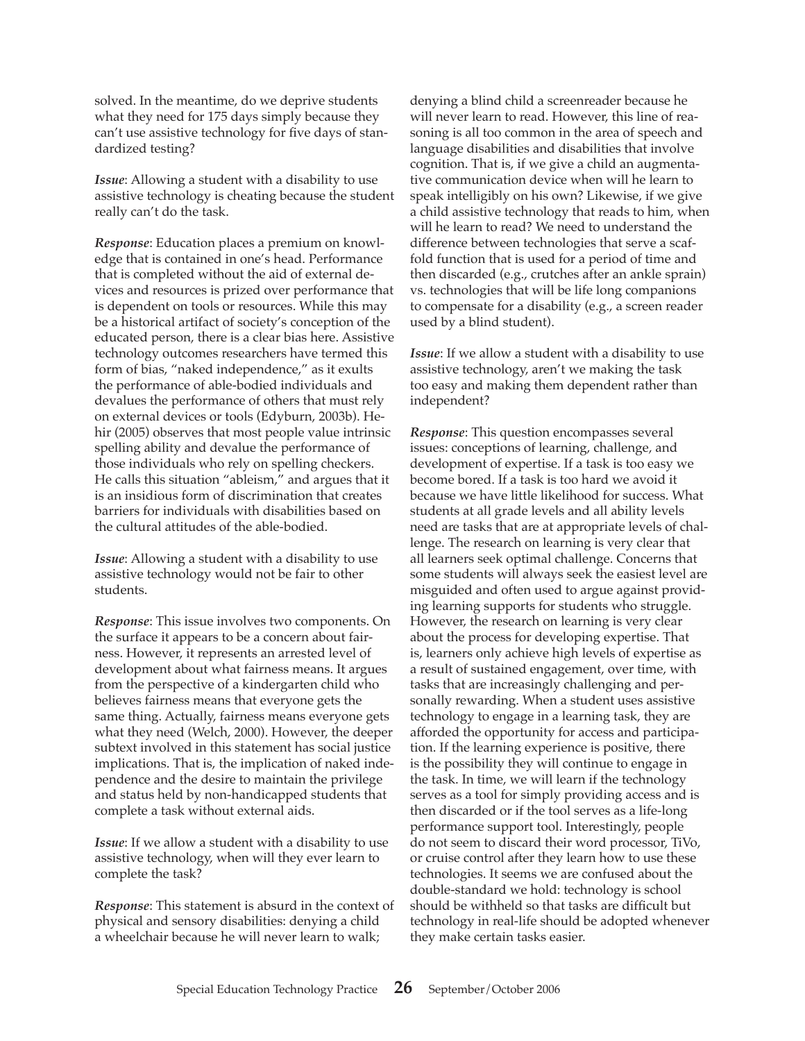solved. In the meantime, do we deprive students what they need for 175 days simply because they can't use assistive technology for five days of standardized testing?

*Issue*: Allowing a student with a disability to use assistive technology is cheating because the student really can't do the task.

*Response*: Education places a premium on knowledge that is contained in one's head. Performance that is completed without the aid of external devices and resources is prized over performance that is dependent on tools or resources. While this may be a historical artifact of society's conception of the educated person, there is a clear bias here. Assistive technology outcomes researchers have termed this form of bias, "naked independence," as it exults the performance of able-bodied individuals and devalues the performance of others that must rely on external devices or tools (Edyburn, 2003b). Hehir (2005) observes that most people value intrinsic spelling ability and devalue the performance of those individuals who rely on spelling checkers. He calls this situation "ableism," and argues that it is an insidious form of discrimination that creates barriers for individuals with disabilities based on the cultural attitudes of the able-bodied.

*Issue*: Allowing a student with a disability to use assistive technology would not be fair to other students.

*Response*: This issue involves two components. On the surface it appears to be a concern about fairness. However, it represents an arrested level of development about what fairness means. It argues from the perspective of a kindergarten child who believes fairness means that everyone gets the same thing. Actually, fairness means everyone gets what they need (Welch, 2000). However, the deeper subtext involved in this statement has social justice implications. That is, the implication of naked independence and the desire to maintain the privilege and status held by non-handicapped students that complete a task without external aids.

*Issue*: If we allow a student with a disability to use assistive technology, when will they ever learn to complete the task?

*Response*: This statement is absurd in the context of physical and sensory disabilities: denying a child a wheelchair because he will never learn to walk;

denying a blind child a screenreader because he will never learn to read. However, this line of reasoning is all too common in the area of speech and language disabilities and disabilities that involve cognition. That is, if we give a child an augmentative communication device when will he learn to speak intelligibly on his own? Likewise, if we give a child assistive technology that reads to him, when will he learn to read? We need to understand the difference between technologies that serve a scaffold function that is used for a period of time and then discarded (e.g., crutches after an ankle sprain) vs. technologies that will be life long companions to compensate for a disability (e.g., a screen reader used by a blind student).

*Issue*: If we allow a student with a disability to use assistive technology, aren't we making the task too easy and making them dependent rather than independent?

*Response*: This question encompasses several issues: conceptions of learning, challenge, and development of expertise. If a task is too easy we become bored. If a task is too hard we avoid it because we have little likelihood for success. What students at all grade levels and all ability levels need are tasks that are at appropriate levels of challenge. The research on learning is very clear that all learners seek optimal challenge. Concerns that some students will always seek the easiest level are misguided and often used to argue against providing learning supports for students who struggle. However, the research on learning is very clear about the process for developing expertise. That is, learners only achieve high levels of expertise as a result of sustained engagement, over time, with tasks that are increasingly challenging and personally rewarding. When a student uses assistive technology to engage in a learning task, they are afforded the opportunity for access and participation. If the learning experience is positive, there is the possibility they will continue to engage in the task. In time, we will learn if the technology serves as a tool for simply providing access and is then discarded or if the tool serves as a life-long performance support tool. Interestingly, people do not seem to discard their word processor, TiVo, or cruise control after they learn how to use these technologies. It seems we are confused about the double-standard we hold: technology is school should be withheld so that tasks are difficult but technology in real-life should be adopted whenever they make certain tasks easier.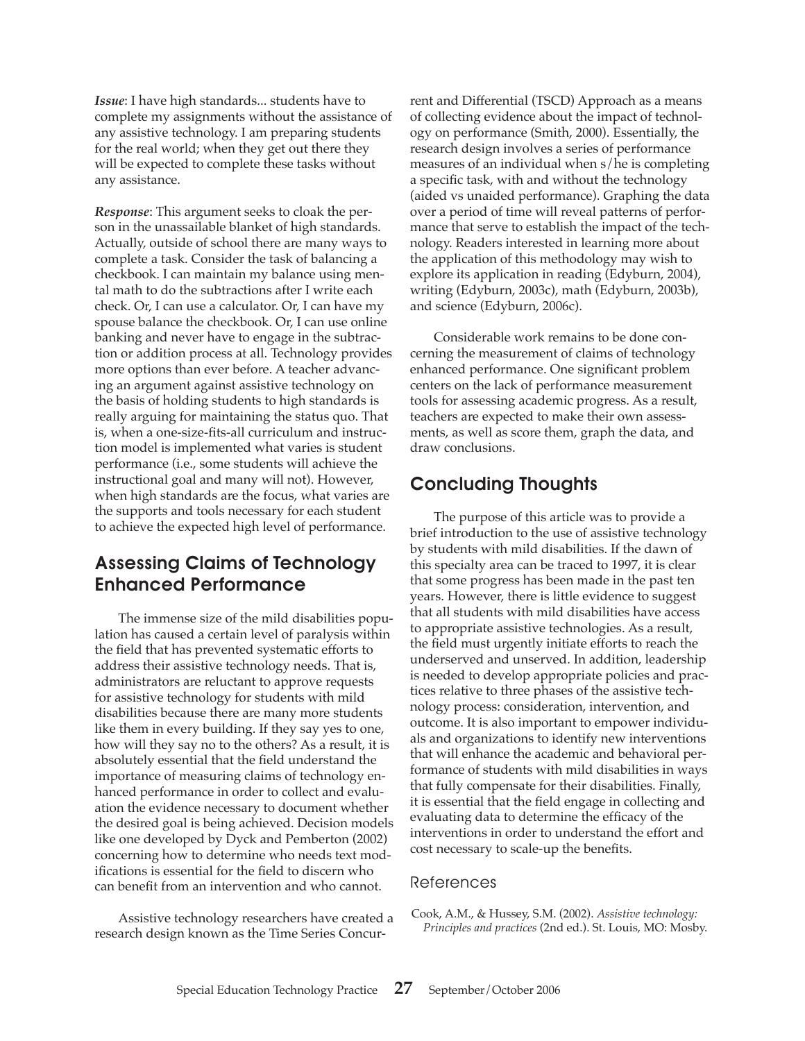*Issue*: I have high standards... students have to complete my assignments without the assistance of any assistive technology. I am preparing students for the real world; when they get out there they will be expected to complete these tasks without any assistance.

*Response*: This argument seeks to cloak the person in the unassailable blanket of high standards. Actually, outside of school there are many ways to complete a task. Consider the task of balancing a checkbook. I can maintain my balance using mental math to do the subtractions after I write each check. Or, I can use a calculator. Or, I can have my spouse balance the checkbook. Or, I can use online banking and never have to engage in the subtraction or addition process at all. Technology provides more options than ever before. A teacher advancing an argument against assistive technology on the basis of holding students to high standards is really arguing for maintaining the status quo. That is, when a one-size-fits-all curriculum and instruction model is implemented what varies is student performance (i.e., some students will achieve the instructional goal and many will not). However, when high standards are the focus, what varies are the supports and tools necessary for each student to achieve the expected high level of performance.

# Assessing Claims of Technology Enhanced Performance

The immense size of the mild disabilities population has caused a certain level of paralysis within the field that has prevented systematic efforts to address their assistive technology needs. That is, administrators are reluctant to approve requests for assistive technology for students with mild disabilities because there are many more students like them in every building. If they say yes to one, how will they say no to the others? As a result, it is absolutely essential that the field understand the importance of measuring claims of technology enhanced performance in order to collect and evaluation the evidence necessary to document whether the desired goal is being achieved. Decision models like one developed by Dyck and Pemberton (2002) concerning how to determine who needs text modifications is essential for the field to discern who can benefit from an intervention and who cannot.

Assistive technology researchers have created a research design known as the Time Series Concur-

rent and Differential (TSCD) Approach as a means of collecting evidence about the impact of technology on performance (Smith, 2000). Essentially, the research design involves a series of performance measures of an individual when s/he is completing a specific task, with and without the technology (aided vs unaided performance). Graphing the data over a period of time will reveal patterns of performance that serve to establish the impact of the technology. Readers interested in learning more about the application of this methodology may wish to explore its application in reading (Edyburn, 2004), writing (Edyburn, 2003c), math (Edyburn, 2003b), and science (Edyburn, 2006c).

Considerable work remains to be done concerning the measurement of claims of technology enhanced performance. One significant problem centers on the lack of performance measurement tools for assessing academic progress. As a result, teachers are expected to make their own assessments, as well as score them, graph the data, and draw conclusions.

# Concluding Thoughts

The purpose of this article was to provide a brief introduction to the use of assistive technology by students with mild disabilities. If the dawn of this specialty area can be traced to 1997, it is clear that some progress has been made in the past ten years. However, there is little evidence to suggest that all students with mild disabilities have access to appropriate assistive technologies. As a result, the field must urgently initiate efforts to reach the underserved and unserved. In addition, leadership is needed to develop appropriate policies and practices relative to three phases of the assistive technology process: consideration, intervention, and outcome. It is also important to empower individuals and organizations to identify new interventions that will enhance the academic and behavioral performance of students with mild disabilities in ways that fully compensate for their disabilities. Finally, it is essential that the field engage in collecting and evaluating data to determine the efficacy of the interventions in order to understand the effort and cost necessary to scale-up the benefits.

#### References

Cook, A.M., & Hussey, S.M. (2002). *Assistive technology: Principles and practices* (2nd ed.). St. Louis, MO: Mosby.